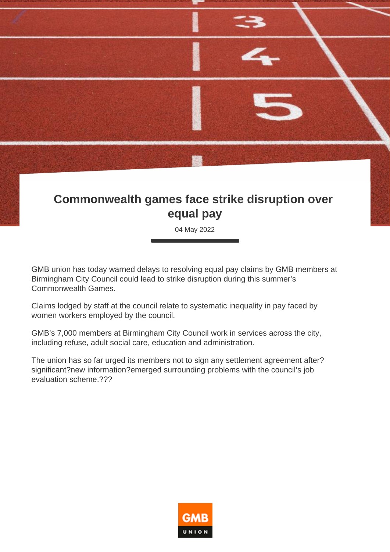

## **Commonwealth games face strike disruption over equal pay**

04 May 2022

GMB union has today warned delays to resolving equal pay claims by GMB members at Birmingham City Council could lead to strike disruption during this summer's Commonwealth Games.

Claims lodged by staff at the council relate to systematic inequality in pay faced by women workers employed by the council.

GMB's 7,000 members at Birmingham City Council work in services across the city, including refuse, adult social care, education and administration.

The union has so far urged its members not to sign any settlement agreement after? significant?new information?emerged surrounding problems with the council's job evaluation scheme.???